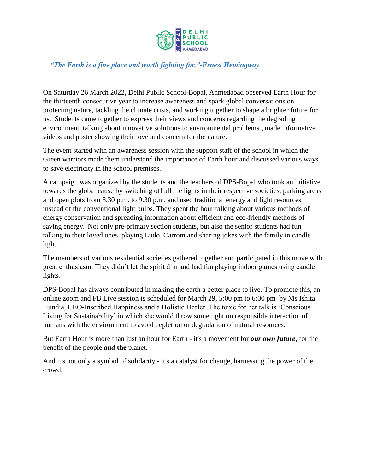

## *"The Earth is a fine place and worth fighting for."-Ernest Hemingway*

On Saturday 26 March 2022, Delhi Public School-Bopal, Ahmedabad observed Earth Hour for the thirteenth consecutive year to increase awareness and spark global conversations on protecting nature, tackling the climate crisis, and working together to shape a brighter future for us. Students came together to express their views and concerns regarding the degrading environment, talking about innovative solutions to environmental problems , made informative videos and poster showing their love and concern for the nature.

The event started with an awareness session with the support staff of the school in which the Green warriors made them understand the importance of Earth hour and discussed various ways to save electricity in the school premises.

A campaign was organized by the students and the teachers of DPS-Bopal who took an initiative towards the global cause by switching off all the lights in their respective societies, parking areas and open plots from 8.30 p.m. to 9.30 p.m. and used traditional energy and light resources instead of the conventional light bulbs. They spent the hour talking about various methods of energy conservation and spreading information about efficient and eco-friendly methods of saving energy. Not only pre-primary section students, but also the senior students had fun talking to their loved ones, playing Ludo, Carrom and sharing jokes with the family in candle light.

The members of various residential societies gathered together and participated in this move with great enthusiasm. They didn't let the spirit dim and had fun playing indoor games using candle lights.

DPS-Bopal has always contributed in making the earth a better place to live. To promote this, an online zoom and FB Live session is scheduled for March 29, 5:00 pm to 6:00 pm by Ms Ishita Hundia, CEO-Inscribed Happiness and a Holistic Healer. The topic for her talk is 'Conscious Living for Sustainability' in which she would throw some light on responsible interaction of humans with the environment to avoid depletion or degradation of natural resources.

But Earth Hour is more than just an hour for Earth - it's a movement for *our own future,* for the benefit of the people *and* **the** planet.

And it's not only a symbol of solidarity - it's a catalyst for change, harnessing the power of the crowd.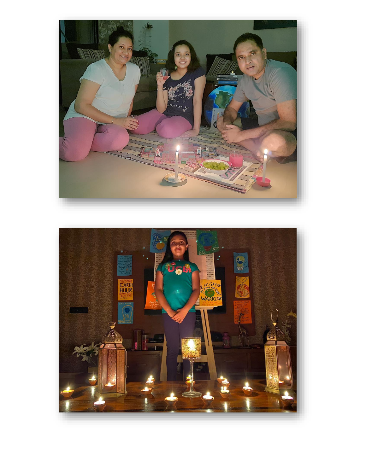